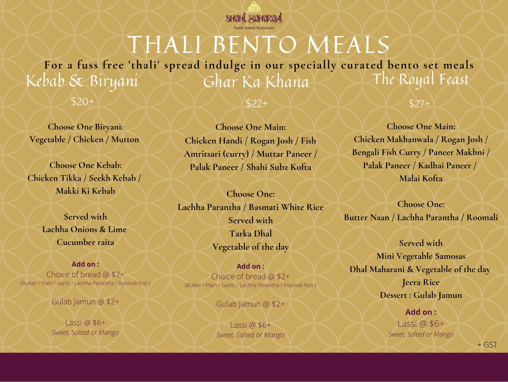## \$20+

**Add on :** Choice of bread @ \$2+ (Butter / Plain / Garlic / Lachha Parantha / Roomali Roti )

Gulab Jamun @ \$2+

Lassi @ \$6+ *Sweet, Salted or Mango*

**Choose One Biryani: Vegetable / Chicken / Mutton**

**Choose One Kebab: Chicken Tikka / Seekh Kebab / Makki Ki Kebab**

> **Served with Lachha Onions & Lime Cucumber raita**

Kebab & Biryani Ghar Ka Khana

> **Choose One Main: Chicken Handi / Rogan Josh / Fish Amritsari (curry) / Muttar Paneer / Palak Paneer / Shahi Subz Kofta**

**Choose One: Lachha Parantha / Basmati White Rice Served with Tarka Dhal Vegetable of the day**

**Add on :** Choice of bread @ \$2+ (Butter / Plain / Garlic / Lachha Parantha / Roomali Roti )

Gulab Jamun @ \$2+

Lassi @ \$6+ *Sweet, Salted or Mango*

\$22+

**Choose One Main: Chicken Makhanwala / Rogan Josh / Bengali Fish Curry / Paneer Makhni / Palak Paneer / Kadhai Paneer / Malai Kofta**

**Choose One: Butter Naan / Lachha Parantha / Roomali**

**Served with Mini Vegetable Samosas Dhal Maharani & Vegetable of the day Jeera Rice Dessert : Gulab Jamun**

\$27+

**Add on :** Lassi @ \$6+ *Sweet, Salted or Mango*



## The Royal Feast THALI BENTO MEALS **For a fuss free 'thali' spread indulge in our specially curated bento set meals**

+ GST